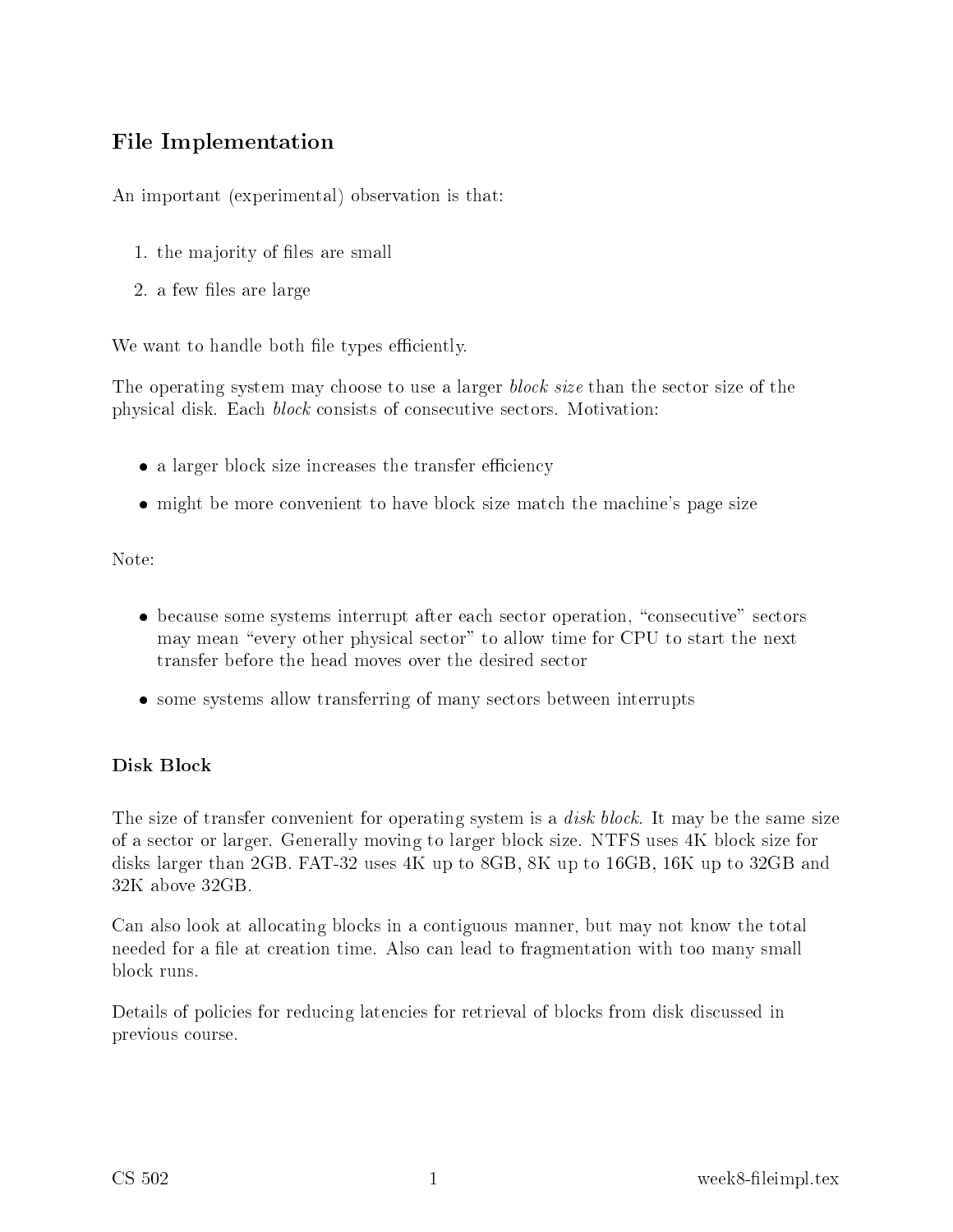# File Implementation

An important (experimental) observation is that:

- 1. the majority of les are small
- 2. a few files are large

We want to handle both file types efficiently.

The operating system may choose to use a larger *block size* than the sector size of the physical disk. Each *block* consists of consecutive sectors. Motivation:

- a larger block size increases the transfer efficiency
- might be more convenient to have block size match the machine's page size

Note:

- because some systems interrupt after each sector operation, "consecutive" sectors may mean "every other physical sector" to allow time for CPU to start the next transfer before the head moves over the desired se
tor
- some systems allow transferring of many sectors between interrupts

#### Disk Block

The size of transfer convenient for operating system is a *disk block*. It may be the same size of a se
tor or larger. Generally moving to larger blo
k size. NTFS uses 4K blo
k size for disks larger than 2GB. FAT-32 uses 4K up to 8GB, 8K up to 16GB, 16K up to 32GB and 32K above 32GB.

Can also look at allocating blocks in a contiguous manner, but may not know the total needed for a file at creation time. Also can lead to fragmentation with too many small blo
k runs.

Details of policies for reducing latencies for retrieval of blocks from disk discussed in previous ourse.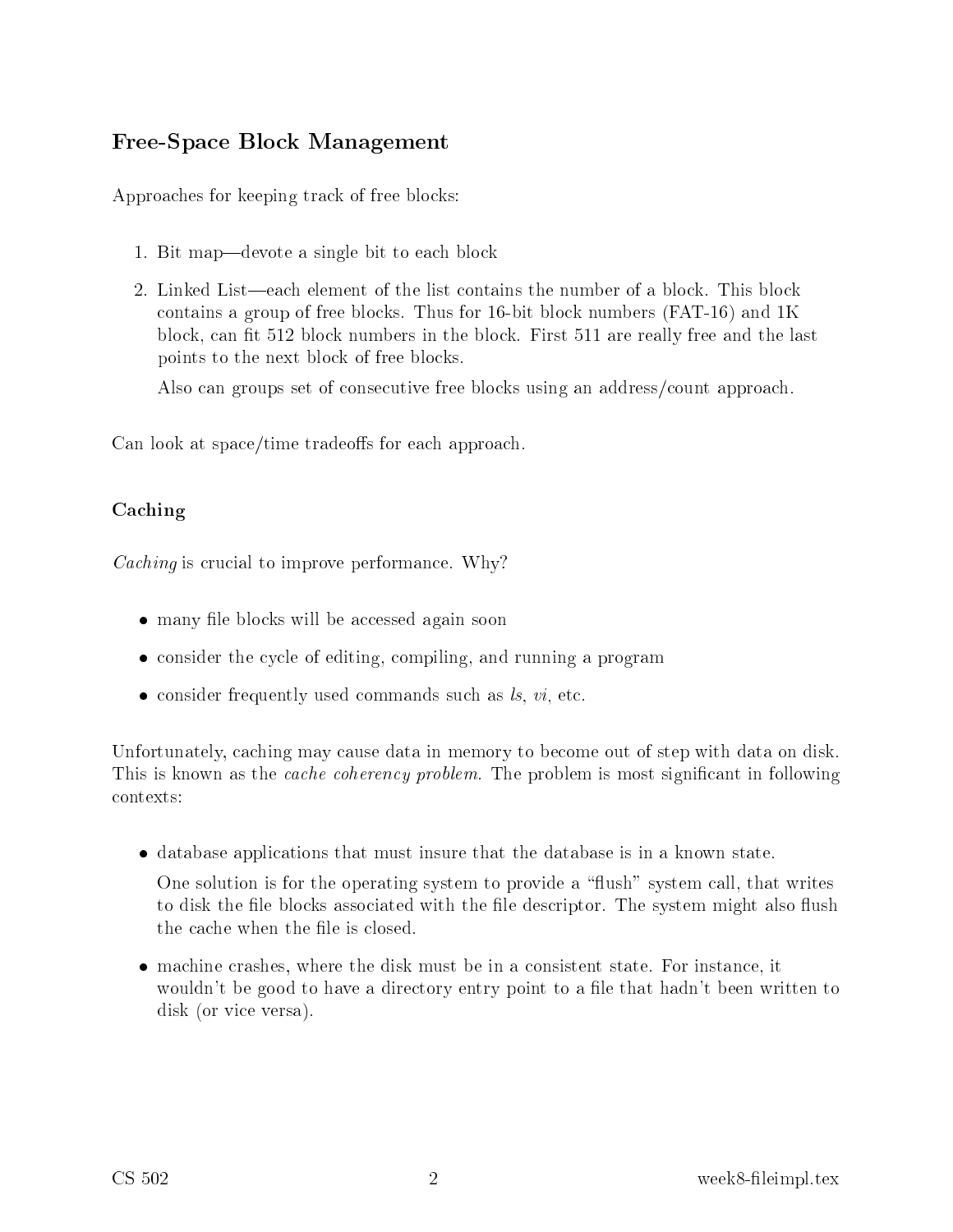### Free-Spa
e Blo
k Management

Approa
hes for keeping tra
k of free blo
ks:

- 1. Bit map—devote a single bit to each block
- 2. Linked List—each element of the list contains the number of a block. This block ontains a group of free blo
ks. Thus for 16-bit blo
k numbers (FAT-16) and 1K block, can fit 512 block numbers in the block. First 511 are really free and the last points to the next blo
k of free blo
ks.

Also can groups set of consecutive free blocks using an address/count approach.

Can look at space/time tradeoffs for each approach.

### Caching

concert is extended by the performance performance of the performance of  $\mathcal{L}_{\mathcal{A}}$ 

- many file blocks will be accessed again soon
- consider the cycle of editing, compiling, and running a program
- consider frequently used commands such as  $ls, vi, etc.$

Unfortunately, caching may cause data in memory to become out of step with data on disk. This is known as the *cache coherency problem*. The problem is most significant in following ontexts:

• database applications that must insure that the database is in a known state.

One solution is for the operating system to provide a "flush" system call, that writes to disk the file blocks associated with the file descriptor. The system might also flush the cache when the file is closed.

• machine crashes, where the disk must be in a consistent state. For instance, it wouldn't be good to have a directory entry point to a file that hadn't been written to disk (or vice versa).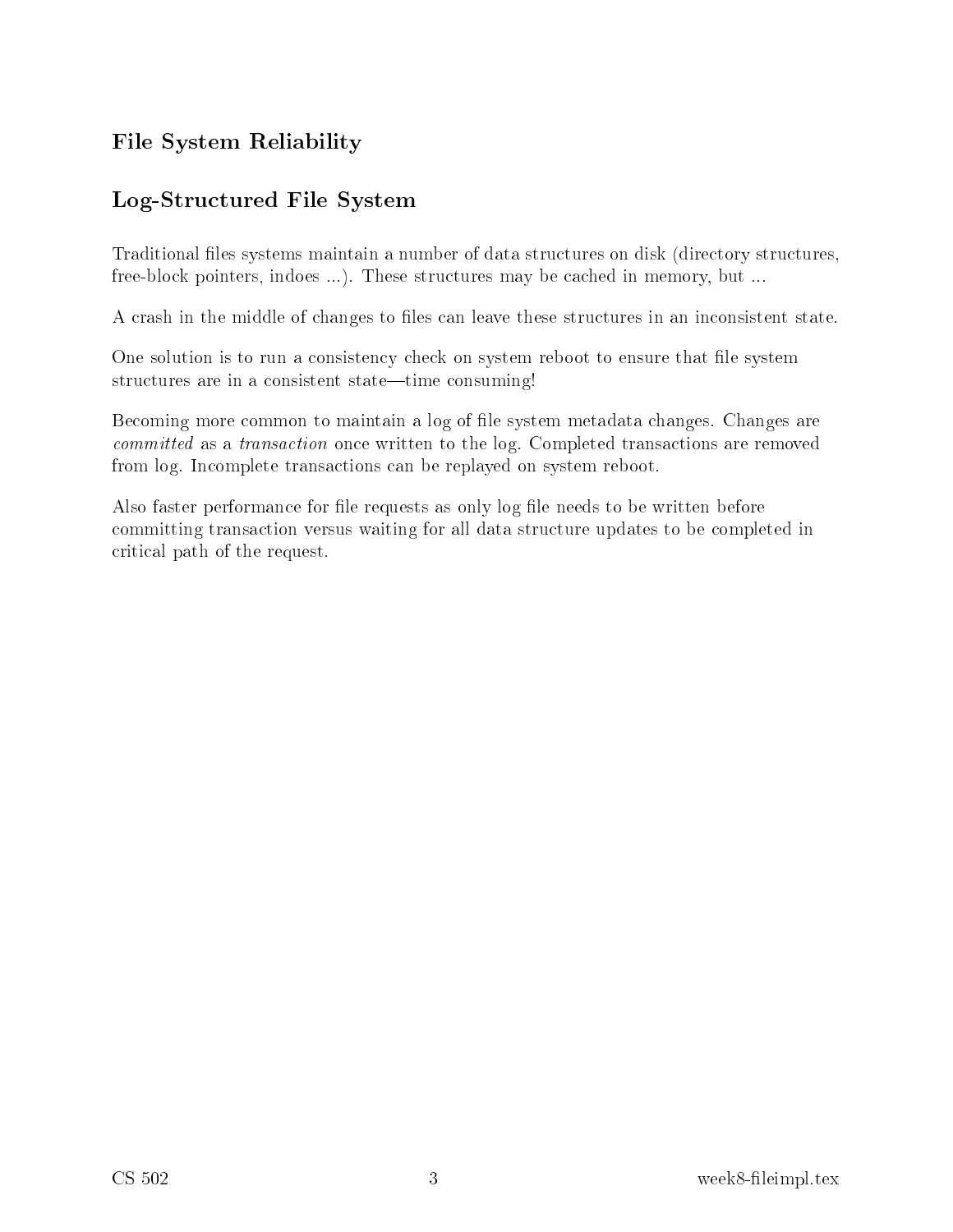# File System Reliability

### Log-Stru
tured File System

Traditional files systems maintain a number of data structures on disk (directory structures, free-block pointers, indoes ...). These structures may be cached in memory, but ...

A crash in the middle of changes to files can leave these structures in an inconsistent state.

One solution is to run a consistency check on system reboot to ensure that file system structures are in a consistent state—time consuming!

Becoming more common to maintain a log of file system metadata changes. Changes are ommitted as a transa
tion on
e written to the log. Completed transa
tions are removed from log. In
omplete transa
tions an be replayed on system reboot.

Also faster performance for file requests as only log file needs to be written before committing transaction versus waiting for all data structure updates to be completed in riti
al path of the request.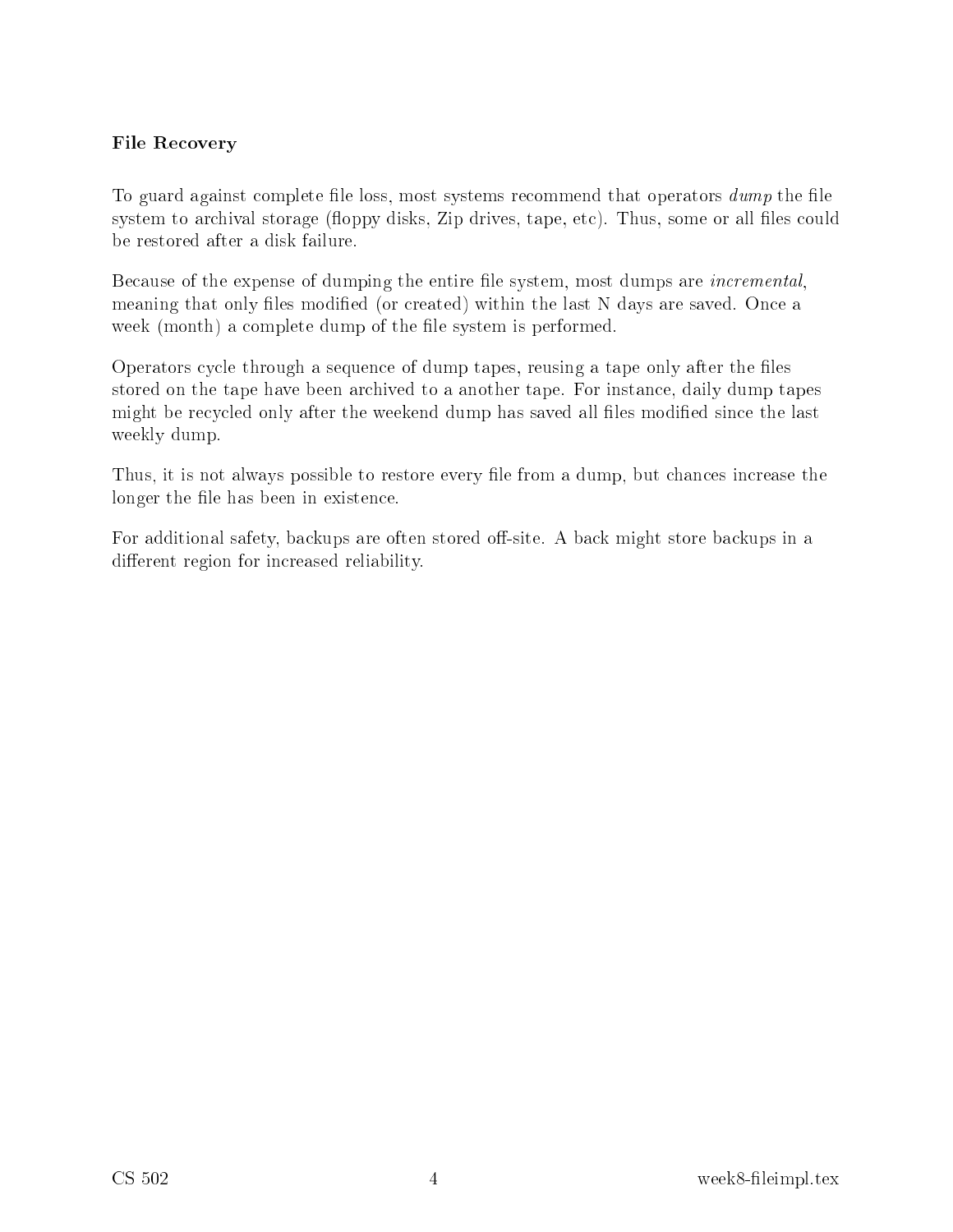#### File Re
overy

To guard against complete file loss, most systems recommend that operators  $dump$  the file system to archival storage (floppy disks, Zip drives, tape, etc). Thus, some or all files could be restored after a disk failure.

Because of the expense of dumping the entire file system, most dumps are *incremental*, meaning that only files modified (or created) within the last N days are saved. Once a week (month) a complete dump of the file system is performed.

Operators cycle through a sequence of dump tapes, reusing a tape only after the files stored on the tape have been archived to a another tape. For instance, daily dump tapes might be recycled only after the weekend dump has saved all files modified since the last weekly dump.

Thus, it is not always possible to restore every file from a dump, but chances increase the longer the file has been in existence.

For additional safety, backups are often stored off-site. A back might store backups in a different region for increased reliability.